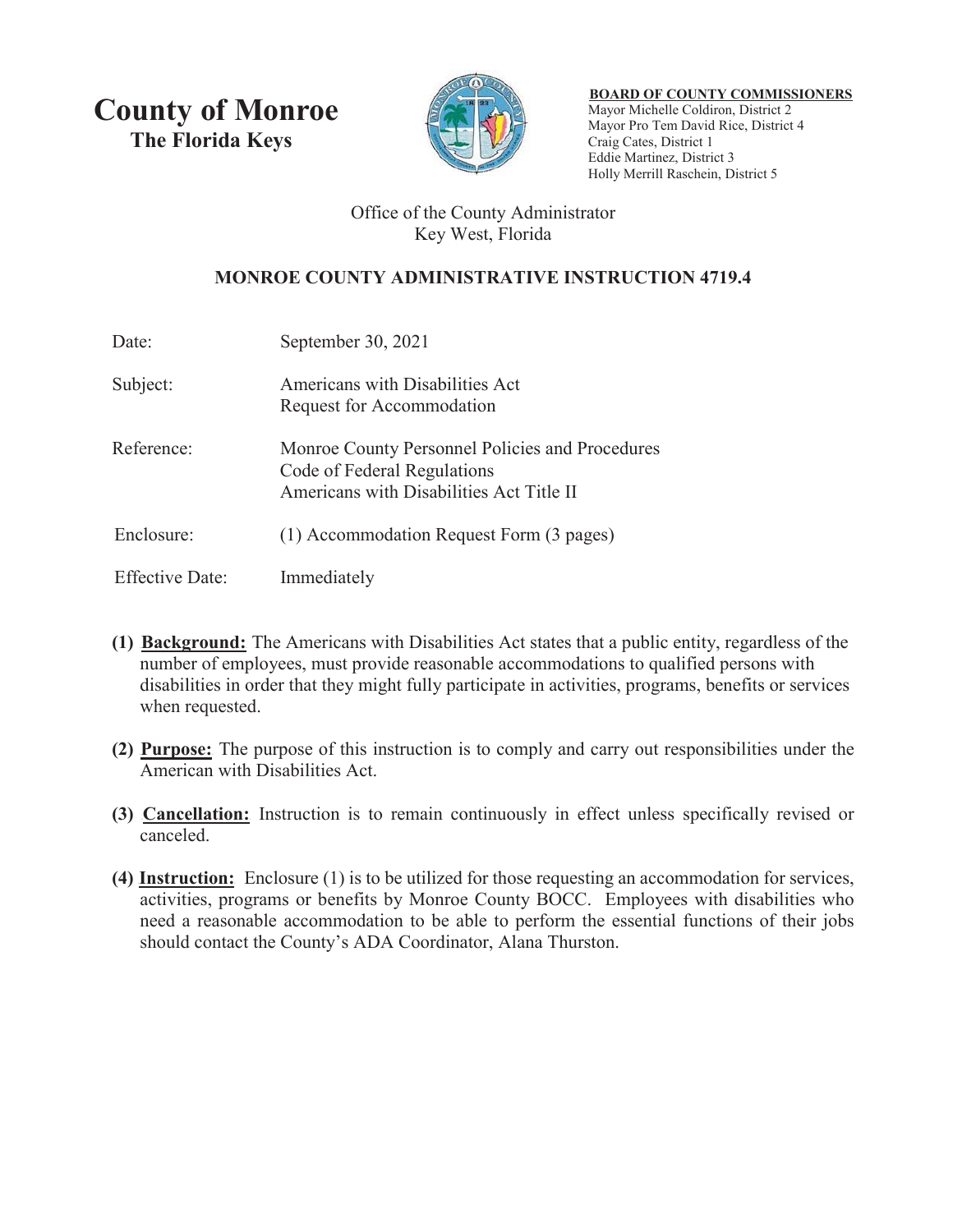**County of Monroe The Florida Keys** 



<sup>U</sup>**BOARD OF COUNTY COMMISSIONERS** Mayor Michelle Coldiron, District 2 Mayor Pro Tem David Rice, District 4 Craig Cates, District 1 Eddie Martinez, District 3 Holly Merrill Raschein, District 5

## Office of the County Administrator Key West, Florida

# **MONROE COUNTY ADMINISTRATIVE INSTRUCTION 4719.4**

| Date:                  | September 30, 2021                                                                                                         |
|------------------------|----------------------------------------------------------------------------------------------------------------------------|
| Subject:               | Americans with Disabilities Act<br>Request for Accommodation                                                               |
| Reference:             | Monroe County Personnel Policies and Procedures<br>Code of Federal Regulations<br>Americans with Disabilities Act Title II |
| Enclosure:             | (1) Accommodation Request Form (3 pages)                                                                                   |
| <b>Effective Date:</b> | Immediately                                                                                                                |

- **(1) Background:** The Americans with Disabilities Act states that a public entity, regardless of the number of employees, must provide reasonable accommodations to qualified persons with disabilities in order that they might fully participate in activities, programs, benefits or services when requested.
- **(2) Purpose:** The purpose of this instruction is to comply and carry out responsibilities under the American with Disabilities Act.
- **(3) Cancellation:** Instruction is to remain continuously in effect unless specifically revised or canceled.
- **(4) Instruction:** Enclosure (1) is to be utilized for those requesting an accommodation for services, activities, programs or benefits by Monroe County BOCC. Employees with disabilities who need a reasonable accommodation to be able to perform the essential functions of their jobs should contact the County's ADA Coordinator, Alana Thurston.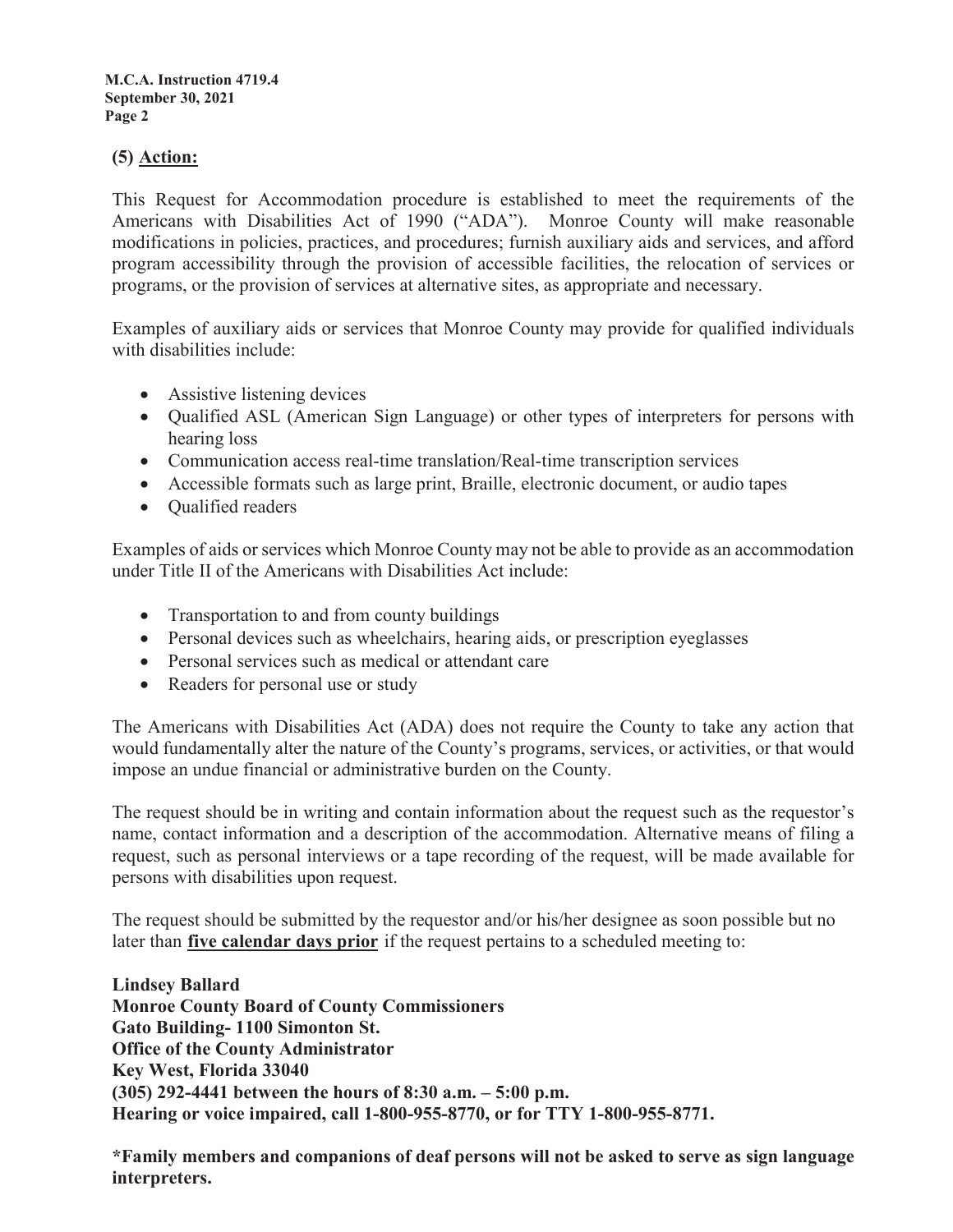**M.C.A. Instruction 4719.4 September 30, 2021 Page 2**

#### **(5)** <u>Action:</u>

This Request for Accommodation procedure is established to meet the requirements of the Americans with Disabilities Act of 1990 ("ADA"). Monroe County will make reasonable modifications in policies, practices, and procedures; furnish auxiliary aids and services, and afford program accessibility through the provision of accessible facilities, the relocation of services or programs, or the provision of services at alternative sites, as appropriate and necessary.

Examples of auxiliary aids or services that Monroe County may provide for qualified individuals with disabilities include:

- $\bullet$  Assistive listening devices
- Qualified ASL (American Sign Language) or other types of interpreters for persons with hearing loss
- Communication access real-time translation/Real-time transcription services
- Accessible formats such as large print, Braille, electronic document, or audio tapes
- Oualified readers

Examples of aids or services which Monroe County may not be able to provide as an accommodation under Title II of the Americans with Disabilities Act include:

- Transportation to and from county buildings
- Personal devices such as wheelchairs, hearing aids, or prescription eyeglasses
- Personal services such as medical or attendant care
- Readers for personal use or study

The Americans with Disabilities Act (ADA) does not require the County to take any action that would fundamentally alter the nature of the County's programs, services, or activities, or that would impose an undue financial or administrative burden on the County.

The request should be in writing and contain information about the request such as the requestor's name, contact information and a description of the accommodation. Alternative means of filing a request, such as personal interviews or a tape recording of the request, will be made available for persons with disabilities upon request.

The request should be submitted by the requestor and/or his/her designee as soon possible but no later than five calendar days prior if the request pertains to a scheduled meeting to:

**Lindsey Ballard Monroe County Board of County Commissioners Gato Building- 1100 Simonton St. Office of the County Administrator Key West, Florida 33040 (305) 292-4441 between the hours of 8:30 a.m. – 5:00 p.m. Hearing or voice impaired, call 1-800-955-8770, or for TTY 1-800-955-8771.**

**\*Family members and companions of deaf persons will not be asked to serve as sign language interpreters.**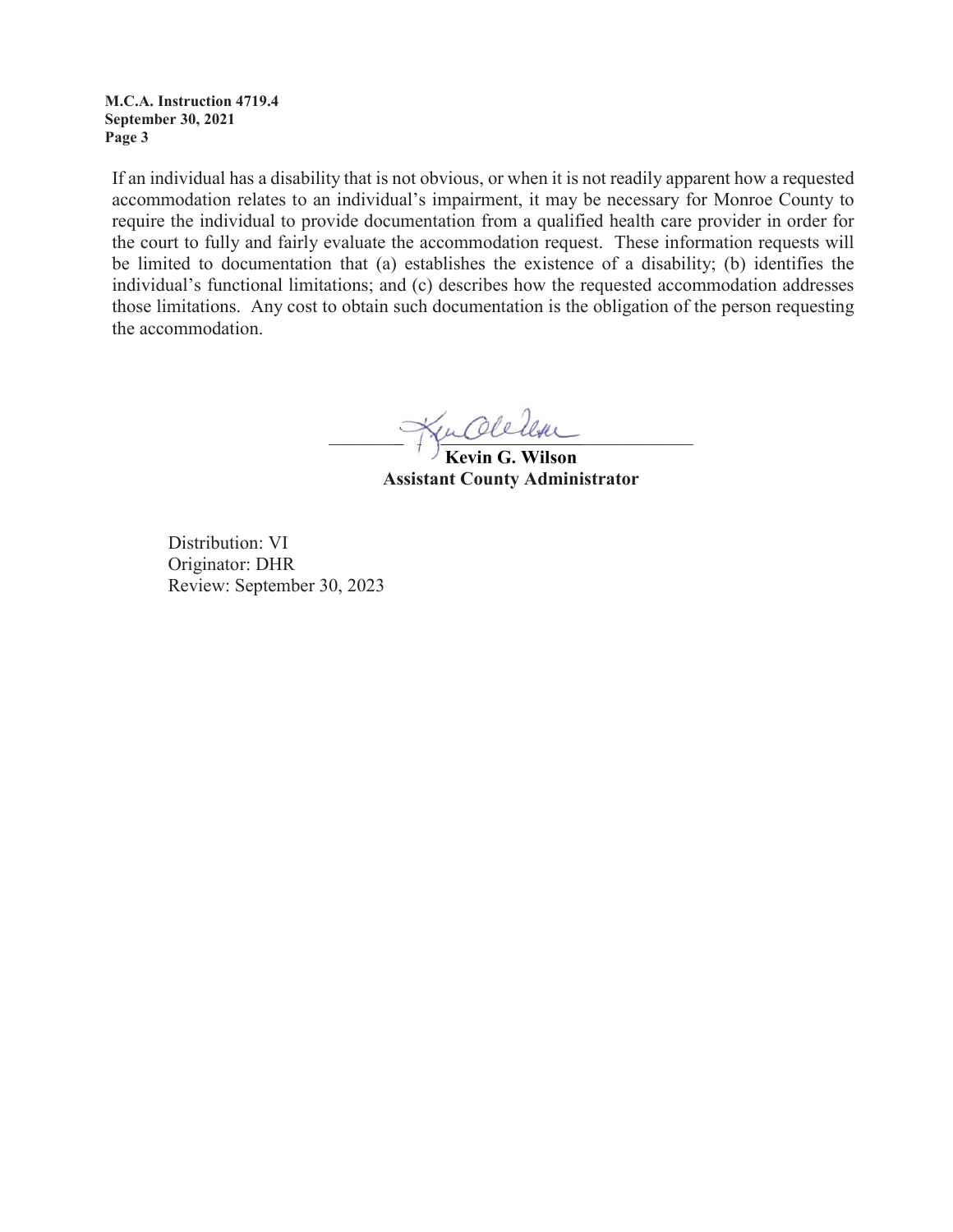**M.C.A. Instruction 4719.4 September 30, 2021 Page 3**

If an individual has a disability that is not obvious, or when it is not readily apparent how a requested accommodation relates to an individual's impairment, it may be necessary for Monroe County to require the individual to provide documentation from a qualified health care provider in order for the court to fully and fairly evaluate the accommodation request. These information requests will be limited to documentation that (a) establishes the existence of a disability; (b) identifies the individual's functional limitations; and (c) describes how the requested accommodation addresses those limitations. Any cost to obtain such documentation is the obligation of the person requesting the accommodation.

\_\_\_\_\_\_\_\_\_\_\_\_\_\_\_\_\_\_\_\_\_\_\_\_\_\_\_\_\_\_\_\_\_\_\_\_\_\_\_ \_\_\_\_\_\_\_\_\_\_\_\_\_\_\_\_\_\_\_\_\_

**Kevin G. Wilson Kevin G. Assistant County Administrator**

Distribution: VI Originator: DHR Review: September 30, 2023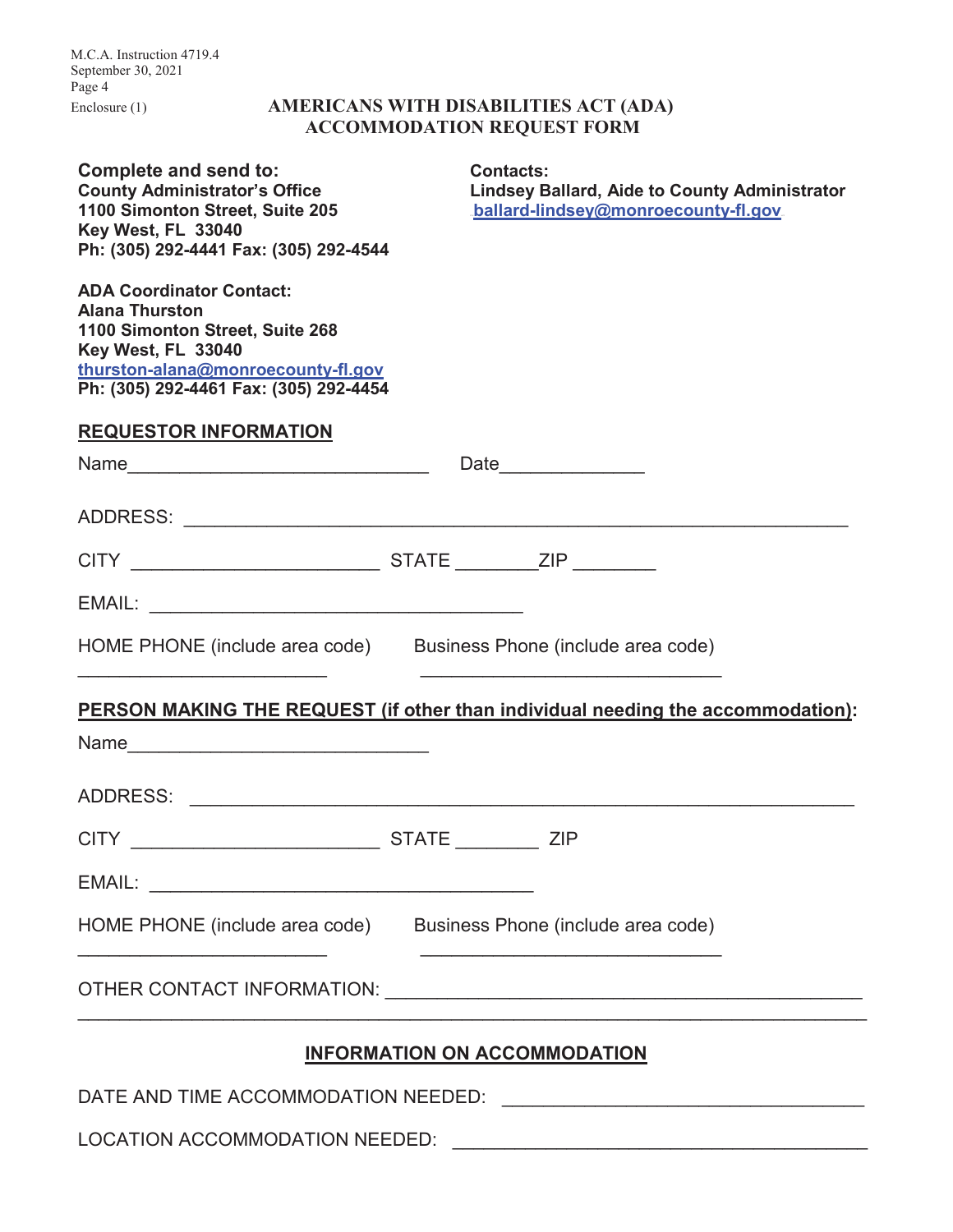M.C.A. Instruction 4719.4 September 30, 2021 Page 4

## Enclosure (1) **AMERICANS WITH DISABILITIES ACT (ADA) ACCOMMODATION REQUEST FORM**

| <b>Complete and send to:</b><br><b>County Administrator's Office</b><br>1100 Simonton Street, Suite 205<br>Key West, FL 33040<br>Ph: (305) 292-4441 Fax: (305) 292-4544                           |  | <b>Contacts:</b><br><b>Lindsey Ballard, Aide to County Administrator</b><br>ballard-lindsey@monroecounty-fl.gov. |  |  |  |
|---------------------------------------------------------------------------------------------------------------------------------------------------------------------------------------------------|--|------------------------------------------------------------------------------------------------------------------|--|--|--|
| <b>ADA Coordinator Contact:</b><br><b>Alana Thurston</b><br>1100 Simonton Street, Suite 268<br>Key West, FL 33040<br>thurston-alana@monroecounty-fl.gov<br>Ph: (305) 292-4461 Fax: (305) 292-4454 |  |                                                                                                                  |  |  |  |
| <b>REQUESTOR INFORMATION</b>                                                                                                                                                                      |  |                                                                                                                  |  |  |  |
|                                                                                                                                                                                                   |  | Date_________________                                                                                            |  |  |  |
|                                                                                                                                                                                                   |  |                                                                                                                  |  |  |  |
|                                                                                                                                                                                                   |  |                                                                                                                  |  |  |  |
|                                                                                                                                                                                                   |  |                                                                                                                  |  |  |  |
| HOME PHONE (include area code) Business Phone (include area code)                                                                                                                                 |  | the control of the control of the control of the control of the control of the control of                        |  |  |  |
| PERSON MAKING THE REQUEST (if other than individual needing the accommodation):                                                                                                                   |  |                                                                                                                  |  |  |  |
| Name                                                                                                                                                                                              |  |                                                                                                                  |  |  |  |
|                                                                                                                                                                                                   |  |                                                                                                                  |  |  |  |
|                                                                                                                                                                                                   |  |                                                                                                                  |  |  |  |
|                                                                                                                                                                                                   |  |                                                                                                                  |  |  |  |
| HOME PHONE (include area code) Business Phone (include area code)                                                                                                                                 |  |                                                                                                                  |  |  |  |
|                                                                                                                                                                                                   |  |                                                                                                                  |  |  |  |
| <b>INFORMATION ON ACCOMMODATION</b>                                                                                                                                                               |  |                                                                                                                  |  |  |  |
| DATE AND TIME ACCOMMODATION NEEDED:                                                                                                                                                               |  |                                                                                                                  |  |  |  |

LOCATION ACCOMMODATION NEEDED: \_\_\_\_\_\_\_\_\_\_\_\_\_\_\_\_\_\_\_\_\_\_\_\_\_\_\_\_\_\_\_\_\_\_\_\_\_\_\_\_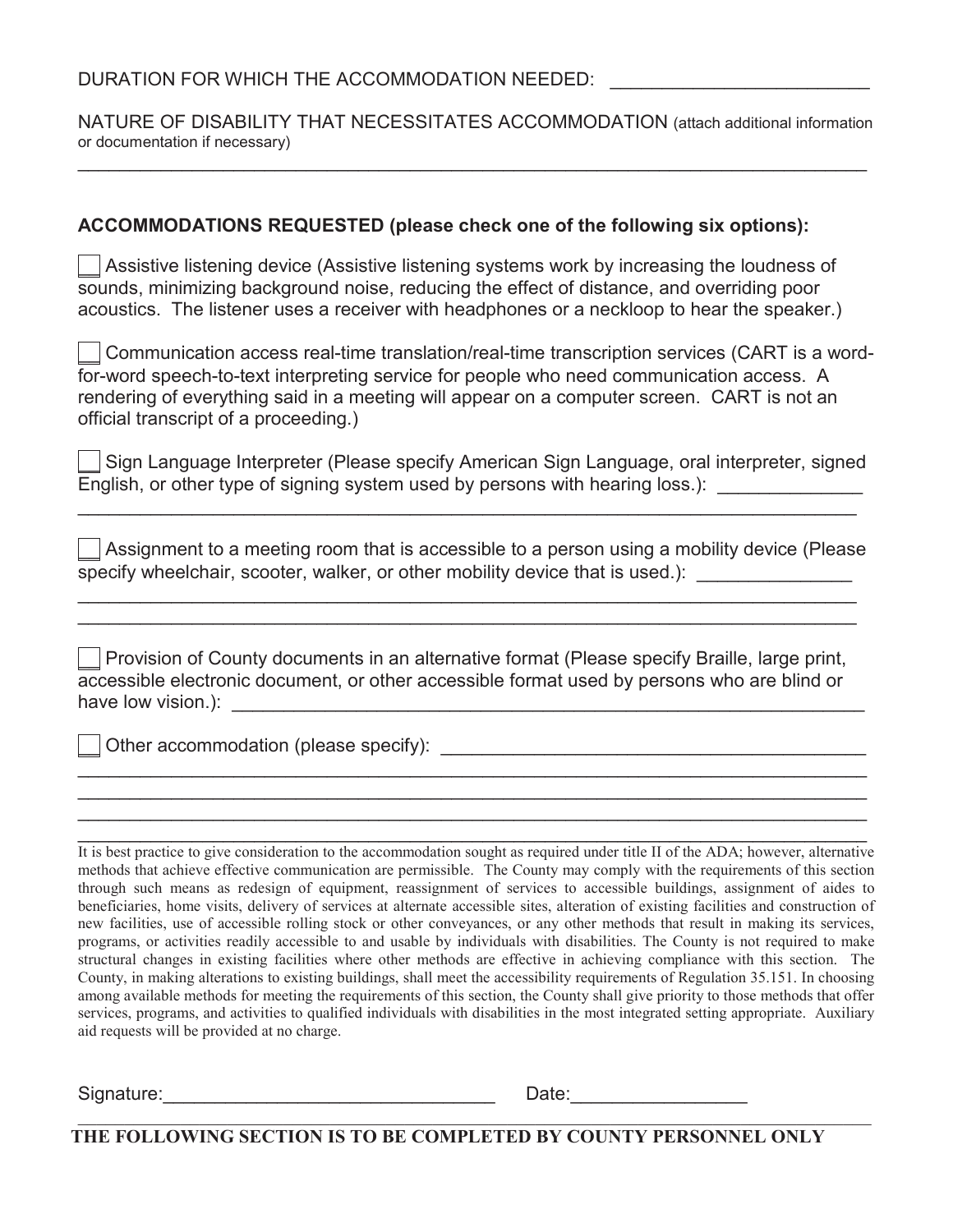DURATION FOR WHICH THE ACCOMMODATION NEEDED:

NATURE OF DISABILITY THAT NECESSITATES ACCOMMODATION (attach additional information or documentation if necessary)  $\mathcal{L}_\mathcal{L} = \mathcal{L}_\mathcal{L} = \mathcal{L}_\mathcal{L} = \mathcal{L}_\mathcal{L} = \mathcal{L}_\mathcal{L} = \mathcal{L}_\mathcal{L} = \mathcal{L}_\mathcal{L} = \mathcal{L}_\mathcal{L} = \mathcal{L}_\mathcal{L} = \mathcal{L}_\mathcal{L} = \mathcal{L}_\mathcal{L} = \mathcal{L}_\mathcal{L} = \mathcal{L}_\mathcal{L} = \mathcal{L}_\mathcal{L} = \mathcal{L}_\mathcal{L} = \mathcal{L}_\mathcal{L} = \mathcal{L}_\mathcal{L}$ 

### **ACCOMMODATIONS REQUESTED (please check one of the following six options):**

Assistive listening device (Assistive listening systems work by increasing the loudness of sounds, minimizing background noise, reducing the effect of distance, and overriding poor acoustics. The listener uses a receiver with headphones or a neckloop to hear the speaker.)

\_\_ Communication access real-time translation/real-time transcription services (CART is a wordfor-word speech-to-text interpreting service for people who need communication access. A rendering of everything said in a meeting will appear on a computer screen. CART is not an official transcript of a proceeding.)

Sign Language Interpreter (Please specify American Sign Language, oral interpreter, signed  $\overline{\mathsf{English}}$ , or other type of signing system used by persons with hearing loss.):

\_\_\_\_\_\_\_\_\_\_\_\_\_\_\_\_\_\_\_\_\_\_\_\_\_\_\_\_\_\_\_\_\_\_\_\_\_\_\_\_\_\_\_\_\_\_\_\_\_\_\_\_\_\_\_\_\_\_\_\_\_\_\_\_\_\_\_\_\_\_\_\_\_\_\_

 $\mathcal I$  Assignment to a meeting room that is accessible to a person using a mobility device (Please specify wheelchair, scooter, walker, or other mobility device that is used.):

Provision of County documents in an alternative format (Please specify Braille, large print, accessible electronic document, or other accessible format used by persons who are blind or have low vision.): \_\_\_\_\_\_\_\_\_\_\_\_\_\_\_\_\_\_\_\_\_\_\_\_\_\_\_\_\_\_\_\_\_\_\_\_\_\_\_\_\_\_\_\_\_\_\_\_\_\_\_\_\_\_\_\_\_\_\_\_\_

 $\mathcal{L}_\mathcal{L} = \mathcal{L}_\mathcal{L} = \mathcal{L}_\mathcal{L} = \mathcal{L}_\mathcal{L} = \mathcal{L}_\mathcal{L} = \mathcal{L}_\mathcal{L} = \mathcal{L}_\mathcal{L} = \mathcal{L}_\mathcal{L} = \mathcal{L}_\mathcal{L} = \mathcal{L}_\mathcal{L} = \mathcal{L}_\mathcal{L} = \mathcal{L}_\mathcal{L} = \mathcal{L}_\mathcal{L} = \mathcal{L}_\mathcal{L} = \mathcal{L}_\mathcal{L} = \mathcal{L}_\mathcal{L} = \mathcal{L}_\mathcal{L}$ \_\_\_\_\_\_\_\_\_\_\_\_\_\_\_\_\_\_\_\_\_\_\_\_\_\_\_\_\_\_\_\_\_\_\_\_\_\_\_\_\_\_\_\_\_\_\_\_\_\_\_\_\_\_\_\_\_\_\_\_\_\_\_\_\_\_\_\_\_\_\_\_\_\_\_\_ \_\_\_\_\_\_\_\_\_\_\_\_\_\_\_\_\_\_\_\_\_\_\_\_\_\_\_\_\_\_\_\_\_\_\_\_\_\_\_\_\_\_\_\_\_\_\_\_\_\_\_\_\_\_\_\_\_\_\_\_\_\_\_\_\_\_\_\_\_\_\_\_\_\_\_\_ \_\_\_\_\_\_\_\_\_\_\_\_\_\_\_\_\_\_\_\_\_\_\_\_\_\_\_\_\_\_\_\_\_\_\_\_\_\_\_\_\_\_\_\_\_\_\_\_\_\_\_\_\_\_\_\_\_\_\_\_\_\_\_\_\_\_\_\_\_\_\_\_\_\_\_\_

\_\_\_\_\_\_\_\_\_\_\_\_\_\_\_\_\_\_\_\_\_\_\_\_\_\_\_\_\_\_\_\_\_\_\_\_\_\_\_\_\_\_\_\_\_\_\_\_\_\_\_\_\_\_\_\_\_\_\_\_\_\_\_\_\_\_\_\_\_\_\_\_\_\_\_ \_\_\_\_\_\_\_\_\_\_\_\_\_\_\_\_\_\_\_\_\_\_\_\_\_\_\_\_\_\_\_\_\_\_\_\_\_\_\_\_\_\_\_\_\_\_\_\_\_\_\_\_\_\_\_\_\_\_\_\_\_\_\_\_\_\_\_\_\_\_\_\_\_\_\_

\_\_ Other accommodation (please specify): \_\_\_\_\_\_\_\_\_\_\_\_\_\_\_\_\_\_\_\_\_\_\_\_\_\_\_\_\_\_\_\_\_\_\_\_\_\_\_\_\_

It is best practice to give consideration to the accommodation sought as required under title II of the ADA; however, alternative methods that achieve effective communication are permissible. The County may comply with the requirements of this section through such means as redesign of equipment, reassignment of services to accessible buildings, assignment of aides to beneficiaries, home visits, delivery of services at alternate accessible sites, alteration of existing facilities and construction of new facilities, use of accessible rolling stock or other conveyances, or any other methods that result in making its services, programs, or activities readily accessible to and usable by individuals with disabilities. The County is not required to make structural changes in existing facilities where other methods are effective in achieving compliance with this section. The County, in making alterations to existing buildings, shall meet the accessibility requirements of Regulation 35.151. In choosing among available methods for meeting the requirements of this section, the County shall give priority to those methods that offer services, programs, and activities to qualified individuals with disabilities in the most integrated setting appropriate. Auxiliary aid requests will be provided at no charge.

Signature:\_\_\_\_\_\_\_\_\_\_\_\_\_\_\_\_\_\_\_\_\_\_\_\_\_\_\_\_\_\_\_\_ Date:\_\_\_\_\_\_\_\_\_\_\_\_\_\_\_\_\_

**THE FOLLOWING SECTION IS TO BE COMPLETED BY COUNTY PERSONNEL ONLY**